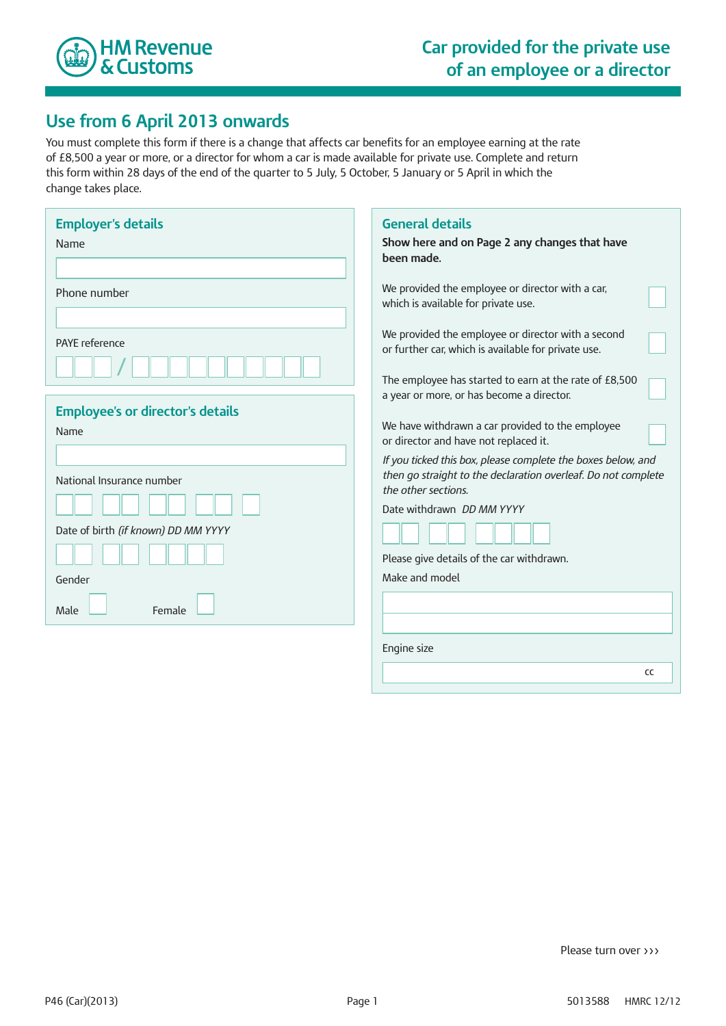

## **Use from 6 April 2013 onwards**

You must complete this form if there is a change that affects car benefits for an employee earning at the rate of £8,500 a year or more, or a director for whom a car is made available for private use. Complete and return this form within 28 days of the end of the quarter to 5 July, 5 October, 5 January or 5 April in which the change takes place.

| <b>Employer's details</b><br>Name       | <b>General details</b><br>Show here and on Page 2 any changes that have<br>been made.                                                                               |
|-----------------------------------------|---------------------------------------------------------------------------------------------------------------------------------------------------------------------|
| Phone number                            | We provided the employee or director with a car,<br>which is available for private use.                                                                             |
| <b>PAYE</b> reference                   | We provided the employee or director with a second<br>or further car, which is available for private use.<br>The employee has started to earn at the rate of £8,500 |
| <b>Employee's or director's details</b> | a year or more, or has become a director.                                                                                                                           |
| Name                                    | We have withdrawn a car provided to the employee<br>or director and have not replaced it.                                                                           |
|                                         | If you ticked this box, please complete the boxes below, and                                                                                                        |
| National Insurance number               | then go straight to the declaration overleaf. Do not complete<br>the other sections.                                                                                |
|                                         | Date withdrawn DD MM YYYY                                                                                                                                           |
| Date of birth (if known) DD MM YYYY     |                                                                                                                                                                     |
|                                         | Please give details of the car withdrawn.                                                                                                                           |
| Gender                                  | Make and model                                                                                                                                                      |
| Female<br>Male                          |                                                                                                                                                                     |
|                                         | Engine size                                                                                                                                                         |
|                                         | CC                                                                                                                                                                  |

Please turn over >>>